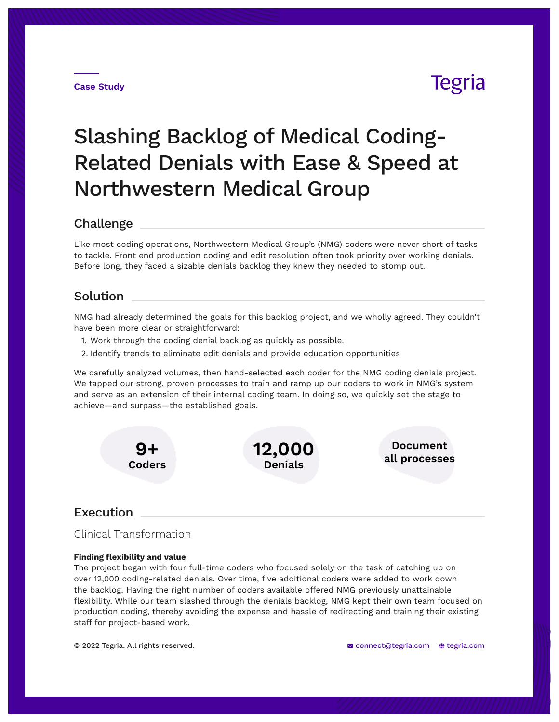#### **Case Study**

## Tegria

# Slashing Backlog of Medical Coding-Related Denials with Ease & Speed at Northwestern Medical Group

### Challenge

Like most coding operations, Northwestern Medical Group's (NMG) coders were never short of tasks to tackle. Front end production coding and edit resolution often took priority over working denials. Before long, they faced a sizable denials backlog they knew they needed to stomp out.

## Solution

NMG had already determined the goals for this backlog project, and we wholly agreed. They couldn't have been more clear or straightforward:

- 1. Work through the coding denial backlog as quickly as possible.
- 2. Identify trends to eliminate edit denials and provide education opportunities

We carefully analyzed volumes, then hand-selected each coder for the NMG coding denials project. We tapped our strong, proven processes to train and ramp up our coders to work in NMG's system and serve as an extension of their internal coding team. In doing so, we quickly set the stage to achieve—and surpass—the established goals.



## Execution

Clinical Transformation

#### **Finding flexibility and value**

The project began with four full-time coders who focused solely on the task of catching up on over 12,000 coding-related denials. Over time, five additional coders were added to work down the backlog. Having the right number of coders available offered NMG previously unattainable flexibility. While our team slashed through the denials backlog, NMG kept their own team focused on production coding, thereby avoiding the expense and hassle of redirecting and training their existing staff for project-based work.